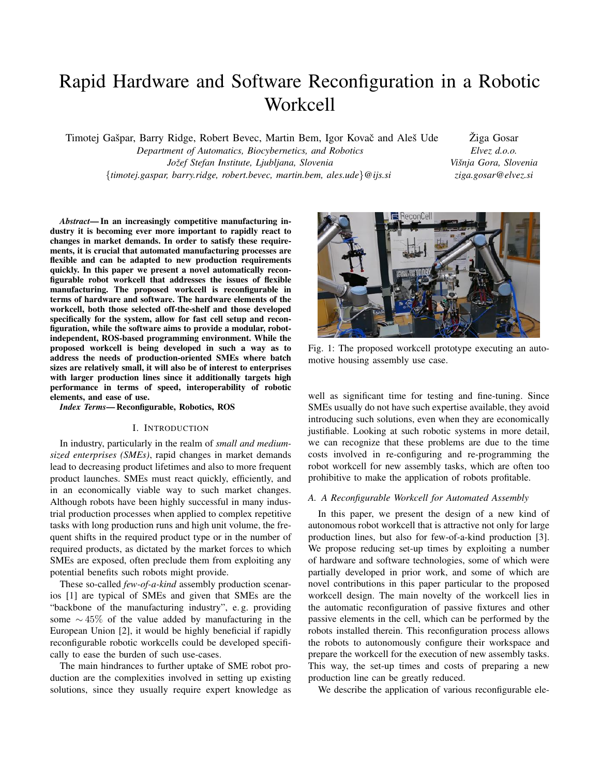# Rapid Hardware and Software Reconfiguration in a Robotic Workcell

Timotej Gašpar, Barry Ridge, Robert Bevec, Martin Bem, Igor Kovač and Aleš Ude

*Department of Automatics, Biocybernetics, and Robotics Jozef Stefan Institute, Ljubljana, Slovenia ˇ {timotej.gaspar, barry.ridge, robert.bevec, martin.bem, ales.ude}@ijs.si*

Žiga Gosar *Elvez d.o.o. Visnja Gora, Slovenia ˇ ziga.gosar@elvez.si*

*Abstract*— In an increasingly competitive manufacturing industry it is becoming ever more important to rapidly react to changes in market demands. In order to satisfy these requirements, it is crucial that automated manufacturing processes are flexible and can be adapted to new production requirements quickly. In this paper we present a novel automatically reconfigurable robot workcell that addresses the issues of flexible manufacturing. The proposed workcell is reconfigurable in terms of hardware and software. The hardware elements of the workcell, both those selected off-the-shelf and those developed specifically for the system, allow for fast cell setup and reconfiguration, while the software aims to provide a modular, robotindependent, ROS-based programming environment. While the proposed workcell is being developed in such a way as to address the needs of production-oriented SMEs where batch sizes are relatively small, it will also be of interest to enterprises with larger production lines since it additionally targets high performance in terms of speed, interoperability of robotic elements, and ease of use.

*Index Terms*— Reconfigurable, Robotics, ROS

#### I. INTRODUCTION

In industry, particularly in the realm of *small and mediumsized enterprises (SMEs)*, rapid changes in market demands lead to decreasing product lifetimes and also to more frequent product launches. SMEs must react quickly, efficiently, and in an economically viable way to such market changes. Although robots have been highly successful in many industrial production processes when applied to complex repetitive tasks with long production runs and high unit volume, the frequent shifts in the required product type or in the number of required products, as dictated by the market forces to which SMEs are exposed, often preclude them from exploiting any potential benefits such robots might provide.

These so-called *few-of-a-kind* assembly production scenarios [1] are typical of SMEs and given that SMEs are the "backbone of the manufacturing industry", e. g. providing some  $\sim$  45% of the value added by manufacturing in the European Union [2], it would be highly beneficial if rapidly reconfigurable robotic workcells could be developed specifically to ease the burden of such use-cases.

The main hindrances to further uptake of SME robot production are the complexities involved in setting up existing solutions, since they usually require expert knowledge as



Fig. 1: The proposed workcell prototype executing an automotive housing assembly use case.

well as significant time for testing and fine-tuning. Since SMEs usually do not have such expertise available, they avoid introducing such solutions, even when they are economically justifiable. Looking at such robotic systems in more detail, we can recognize that these problems are due to the time costs involved in re-configuring and re-programming the robot workcell for new assembly tasks, which are often too prohibitive to make the application of robots profitable.

#### *A. A Reconfigurable Workcell for Automated Assembly*

In this paper, we present the design of a new kind of autonomous robot workcell that is attractive not only for large production lines, but also for few-of-a-kind production [3]. We propose reducing set-up times by exploiting a number of hardware and software technologies, some of which were partially developed in prior work, and some of which are novel contributions in this paper particular to the proposed workcell design. The main novelty of the workcell lies in the automatic reconfiguration of passive fixtures and other passive elements in the cell, which can be performed by the robots installed therein. This reconfiguration process allows the robots to autonomously configure their workspace and prepare the workcell for the execution of new assembly tasks. This way, the set-up times and costs of preparing a new production line can be greatly reduced.

We describe the application of various reconfigurable ele-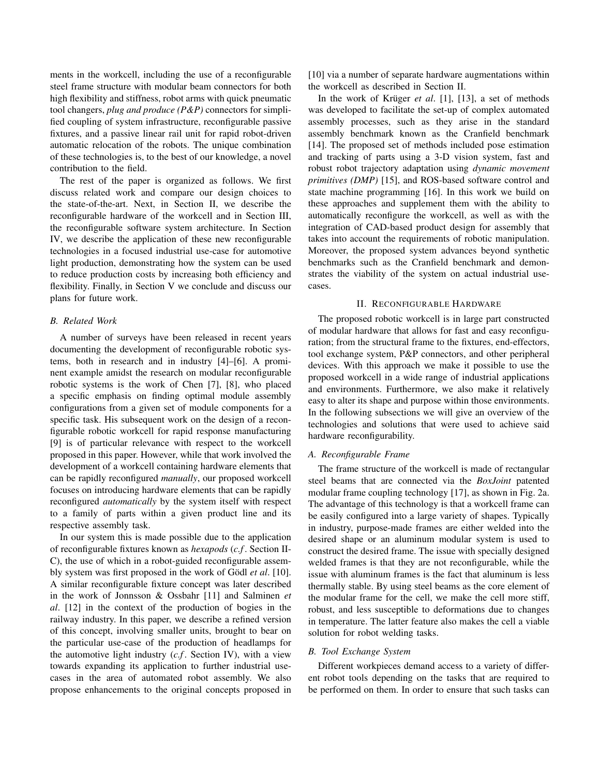ments in the workcell, including the use of a reconfigurable steel frame structure with modular beam connectors for both high flexibility and stiffness, robot arms with quick pneumatic tool changers, *plug and produce (P&P)* connectors for simplified coupling of system infrastructure, reconfigurable passive fixtures, and a passive linear rail unit for rapid robot-driven automatic relocation of the robots. The unique combination of these technologies is, to the best of our knowledge, a novel contribution to the field.

The rest of the paper is organized as follows. We first discuss related work and compare our design choices to the state-of-the-art. Next, in Section II, we describe the reconfigurable hardware of the workcell and in Section III, the reconfigurable software system architecture. In Section IV, we describe the application of these new reconfigurable technologies in a focused industrial use-case for automotive light production, demonstrating how the system can be used to reduce production costs by increasing both efficiency and flexibility. Finally, in Section V we conclude and discuss our plans for future work.

## *B. Related Work*

A number of surveys have been released in recent years documenting the development of reconfigurable robotic systems, both in research and in industry [4]–[6]. A prominent example amidst the research on modular reconfigurable robotic systems is the work of Chen [7], [8], who placed a specific emphasis on finding optimal module assembly configurations from a given set of module components for a specific task. His subsequent work on the design of a reconfigurable robotic workcell for rapid response manufacturing [9] is of particular relevance with respect to the workcell proposed in this paper. However, while that work involved the development of a workcell containing hardware elements that can be rapidly reconfigured *manually*, our proposed workcell focuses on introducing hardware elements that can be rapidly reconfigured *automatically* by the system itself with respect to a family of parts within a given product line and its respective assembly task.

In our system this is made possible due to the application of reconfigurable fixtures known as *hexapods* (*c.f* . Section II-C), the use of which in a robot-guided reconfigurable assembly system was first proposed in the work of Gödl *et al.* [10]. A similar reconfigurable fixture concept was later described in the work of Jonnsson & Ossbahr [11] and Salminen *et al*. [12] in the context of the production of bogies in the railway industry. In this paper, we describe a refined version of this concept, involving smaller units, brought to bear on the particular use-case of the production of headlamps for the automotive light industry (*c.f* . Section IV), with a view towards expanding its application to further industrial usecases in the area of automated robot assembly. We also propose enhancements to the original concepts proposed in [10] via a number of separate hardware augmentations within the workcell as described in Section II.

In the work of Krüger et al. [1], [13], a set of methods was developed to facilitate the set-up of complex automated assembly processes, such as they arise in the standard assembly benchmark known as the Cranfield benchmark [14]. The proposed set of methods included pose estimation and tracking of parts using a 3-D vision system, fast and robust robot trajectory adaptation using *dynamic movement primitives (DMP)* [15], and ROS-based software control and state machine programming [16]. In this work we build on these approaches and supplement them with the ability to automatically reconfigure the workcell, as well as with the integration of CAD-based product design for assembly that takes into account the requirements of robotic manipulation. Moreover, the proposed system advances beyond synthetic benchmarks such as the Cranfield benchmark and demonstrates the viability of the system on actual industrial usecases.

## II. RECONFIGURABLE HARDWARE

The proposed robotic workcell is in large part constructed of modular hardware that allows for fast and easy reconfiguration; from the structural frame to the fixtures, end-effectors, tool exchange system, P&P connectors, and other peripheral devices. With this approach we make it possible to use the proposed workcell in a wide range of industrial applications and environments. Furthermore, we also make it relatively easy to alter its shape and purpose within those environments. In the following subsections we will give an overview of the technologies and solutions that were used to achieve said hardware reconfigurability.

## *A. Reconfigurable Frame*

The frame structure of the workcell is made of rectangular steel beams that are connected via the *BoxJoint* patented modular frame coupling technology [17], as shown in Fig. 2a. The advantage of this technology is that a workcell frame can be easily configured into a large variety of shapes. Typically in industry, purpose-made frames are either welded into the desired shape or an aluminum modular system is used to construct the desired frame. The issue with specially designed welded frames is that they are not reconfigurable, while the issue with aluminum frames is the fact that aluminum is less thermally stable. By using steel beams as the core element of the modular frame for the cell, we make the cell more stiff, robust, and less susceptible to deformations due to changes in temperature. The latter feature also makes the cell a viable solution for robot welding tasks.

#### *B. Tool Exchange System*

Different workpieces demand access to a variety of different robot tools depending on the tasks that are required to be performed on them. In order to ensure that such tasks can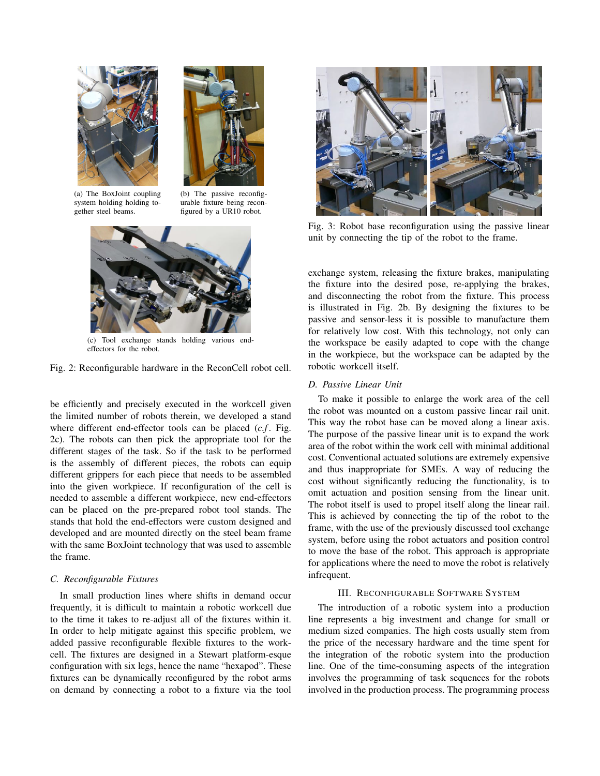



(a) The BoxJoint coupling system holding holding together steel beams.

(b) The passive reconfigurable fixture being reconfigured by a UR10 robot.



(c) Tool exchange stands holding various endeffectors for the robot.

Fig. 2: Reconfigurable hardware in the ReconCell robot cell.

be efficiently and precisely executed in the workcell given the limited number of robots therein, we developed a stand where different end-effector tools can be placed (*c.f.* Fig. 2c). The robots can then pick the appropriate tool for the different stages of the task. So if the task to be performed is the assembly of different pieces, the robots can equip different grippers for each piece that needs to be assembled into the given workpiece. If reconfiguration of the cell is needed to assemble a different workpiece, new end-effectors can be placed on the pre-prepared robot tool stands. The stands that hold the end-effectors were custom designed and developed and are mounted directly on the steel beam frame with the same BoxJoint technology that was used to assemble the frame.

#### *C. Reconfigurable Fixtures*

In small production lines where shifts in demand occur frequently, it is difficult to maintain a robotic workcell due to the time it takes to re-adjust all of the fixtures within it. In order to help mitigate against this specific problem, we added passive reconfigurable flexible fixtures to the workcell. The fixtures are designed in a Stewart platform-esque configuration with six legs, hence the name "hexapod". These fixtures can be dynamically reconfigured by the robot arms on demand by connecting a robot to a fixture via the tool



Fig. 3: Robot base reconfiguration using the passive linear unit by connecting the tip of the robot to the frame.

exchange system, releasing the fixture brakes, manipulating the fixture into the desired pose, re-applying the brakes, and disconnecting the robot from the fixture. This process is illustrated in Fig. 2b. By designing the fixtures to be passive and sensor-less it is possible to manufacture them for relatively low cost. With this technology, not only can the workspace be easily adapted to cope with the change in the workpiece, but the workspace can be adapted by the robotic workcell itself.

#### *D. Passive Linear Unit*

To make it possible to enlarge the work area of the cell the robot was mounted on a custom passive linear rail unit. This way the robot base can be moved along a linear axis. The purpose of the passive linear unit is to expand the work area of the robot within the work cell with minimal additional cost. Conventional actuated solutions are extremely expensive and thus inappropriate for SMEs. A way of reducing the cost without significantly reducing the functionality, is to omit actuation and position sensing from the linear unit. The robot itself is used to propel itself along the linear rail. This is achieved by connecting the tip of the robot to the frame, with the use of the previously discussed tool exchange system, before using the robot actuators and position control to move the base of the robot. This approach is appropriate for applications where the need to move the robot is relatively infrequent.

# III. RECONFIGURABLE SOFTWARE SYSTEM

The introduction of a robotic system into a production line represents a big investment and change for small or medium sized companies. The high costs usually stem from the price of the necessary hardware and the time spent for the integration of the robotic system into the production line. One of the time-consuming aspects of the integration involves the programming of task sequences for the robots involved in the production process. The programming process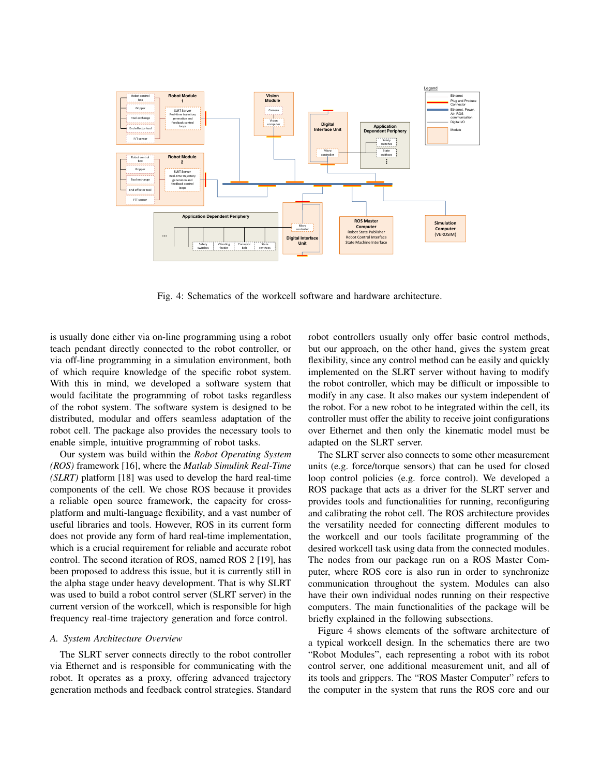

Fig. 4: Schematics of the workcell software and hardware architecture.

is usually done either via on-line programming using a robot teach pendant directly connected to the robot controller, or via off-line programming in a simulation environment, both of which require knowledge of the specific robot system. With this in mind, we developed a software system that would facilitate the programming of robot tasks regardless of the robot system. The software system is designed to be distributed, modular and offers seamless adaptation of the robot cell. The package also provides the necessary tools to enable simple, intuitive programming of robot tasks.

Our system was build within the *Robot Operating System (ROS)* framework [16], where the *Matlab Simulink Real-Time (SLRT)* platform [18] was used to develop the hard real-time components of the cell. We chose ROS because it provides a reliable open source framework, the capacity for crossplatform and multi-language flexibility, and a vast number of useful libraries and tools. However, ROS in its current form does not provide any form of hard real-time implementation, which is a crucial requirement for reliable and accurate robot control. The second iteration of ROS, named ROS 2 [19], has been proposed to address this issue, but it is currently still in the alpha stage under heavy development. That is why SLRT was used to build a robot control server (SLRT server) in the current version of the workcell, which is responsible for high frequency real-time trajectory generation and force control.

#### *A. System Architecture Overview*

The SLRT server connects directly to the robot controller via Ethernet and is responsible for communicating with the robot. It operates as a proxy, offering advanced trajectory generation methods and feedback control strategies. Standard robot controllers usually only offer basic control methods, but our approach, on the other hand, gives the system great flexibility, since any control method can be easily and quickly implemented on the SLRT server without having to modify the robot controller, which may be difficult or impossible to modify in any case. It also makes our system independent of the robot. For a new robot to be integrated within the cell, its controller must offer the ability to receive joint configurations over Ethernet and then only the kinematic model must be adapted on the SLRT server.

The SLRT server also connects to some other measurement units (e.g. force/torque sensors) that can be used for closed loop control policies (e.g. force control). We developed a ROS package that acts as a driver for the SLRT server and provides tools and functionalities for running, reconfiguring and calibrating the robot cell. The ROS architecture provides the versatility needed for connecting different modules to the workcell and our tools facilitate programming of the desired workcell task using data from the connected modules. The nodes from our package run on a ROS Master Computer, where ROS core is also run in order to synchronize communication throughout the system. Modules can also have their own individual nodes running on their respective computers. The main functionalities of the package will be briefly explained in the following subsections.

Figure 4 shows elements of the software architecture of a typical workcell design. In the schematics there are two "Robot Modules", each representing a robot with its robot control server, one additional measurement unit, and all of its tools and grippers. The "ROS Master Computer" refers to the computer in the system that runs the ROS core and our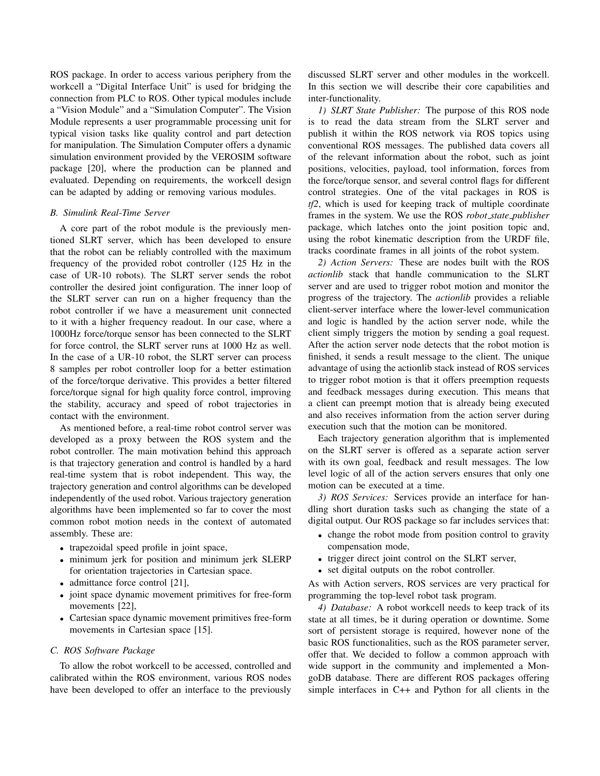ROS package. In order to access various periphery from the workcell a "Digital Interface Unit" is used for bridging the connection from PLC to ROS. Other typical modules include a "Vision Module" and a "Simulation Computer". The Vision Module represents a user programmable processing unit for typical vision tasks like quality control and part detection for manipulation. The Simulation Computer offers a dynamic simulation environment provided by the VEROSIM software package [20], where the production can be planned and evaluated. Depending on requirements, the workcell design can be adapted by adding or removing various modules.

#### *B. Simulink Real-Time Server*

A core part of the robot module is the previously mentioned SLRT server, which has been developed to ensure that the robot can be reliably controlled with the maximum frequency of the provided robot controller (125 Hz in the case of UR-10 robots). The SLRT server sends the robot controller the desired joint configuration. The inner loop of the SLRT server can run on a higher frequency than the robot controller if we have a measurement unit connected to it with a higher frequency readout. In our case, where a 1000Hz force/torque sensor has been connected to the SLRT for force control, the SLRT server runs at 1000 Hz as well. In the case of a UR-10 robot, the SLRT server can process 8 samples per robot controller loop for a better estimation of the force/torque derivative. This provides a better filtered force/torque signal for high quality force control, improving the stability, accuracy and speed of robot trajectories in contact with the environment.

As mentioned before, a real-time robot control server was developed as a proxy between the ROS system and the robot controller. The main motivation behind this approach is that trajectory generation and control is handled by a hard real-time system that is robot independent. This way, the trajectory generation and control algorithms can be developed independently of the used robot. Various trajectory generation algorithms have been implemented so far to cover the most common robot motion needs in the context of automated assembly. These are:

- *•* trapezoidal speed profile in joint space,
- *•* minimum jerk for position and minimum jerk SLERP for orientation trajectories in Cartesian space.
- admittance force control [21],
- joint space dynamic movement primitives for free-form movements [22],
- *•* Cartesian space dynamic movement primitives free-form movements in Cartesian space [15].

#### *C. ROS Software Package*

To allow the robot workcell to be accessed, controlled and calibrated within the ROS environment, various ROS nodes have been developed to offer an interface to the previously discussed SLRT server and other modules in the workcell. In this section we will describe their core capabilities and inter-functionality.

*1) SLRT State Publisher:* The purpose of this ROS node is to read the data stream from the SLRT server and publish it within the ROS network via ROS topics using conventional ROS messages. The published data covers all of the relevant information about the robot, such as joint positions, velocities, payload, tool information, forces from the force/torque sensor, and several control flags for different control strategies. One of the vital packages in ROS is *tf2*, which is used for keeping track of multiple coordinate frames in the system. We use the ROS *robot state publisher* package, which latches onto the joint position topic and, using the robot kinematic description from the URDF file, tracks coordinate frames in all joints of the robot system.

*2) Action Servers:* These are nodes built with the ROS *actionlib* stack that handle communication to the SLRT server and are used to trigger robot motion and monitor the progress of the trajectory. The *actionlib* provides a reliable client-server interface where the lower-level communication and logic is handled by the action server node, while the client simply triggers the motion by sending a goal request. After the action server node detects that the robot motion is finished, it sends a result message to the client. The unique advantage of using the actionlib stack instead of ROS services to trigger robot motion is that it offers preemption requests and feedback messages during execution. This means that a client can preempt motion that is already being executed and also receives information from the action server during execution such that the motion can be monitored.

Each trajectory generation algorithm that is implemented on the SLRT server is offered as a separate action server with its own goal, feedback and result messages. The low level logic of all of the action servers ensures that only one motion can be executed at a time.

*3) ROS Services:* Services provide an interface for handling short duration tasks such as changing the state of a digital output. Our ROS package so far includes services that:

- change the robot mode from position control to gravity compensation mode,
- trigger direct joint control on the SLRT server,
- *•* set digital outputs on the robot controller.

As with Action servers, ROS services are very practical for programming the top-level robot task program.

*4) Database:* A robot workcell needs to keep track of its state at all times, be it during operation or downtime. Some sort of persistent storage is required, however none of the basic ROS functionalities, such as the ROS parameter server, offer that. We decided to follow a common approach with wide support in the community and implemented a MongoDB database. There are different ROS packages offering simple interfaces in C++ and Python for all clients in the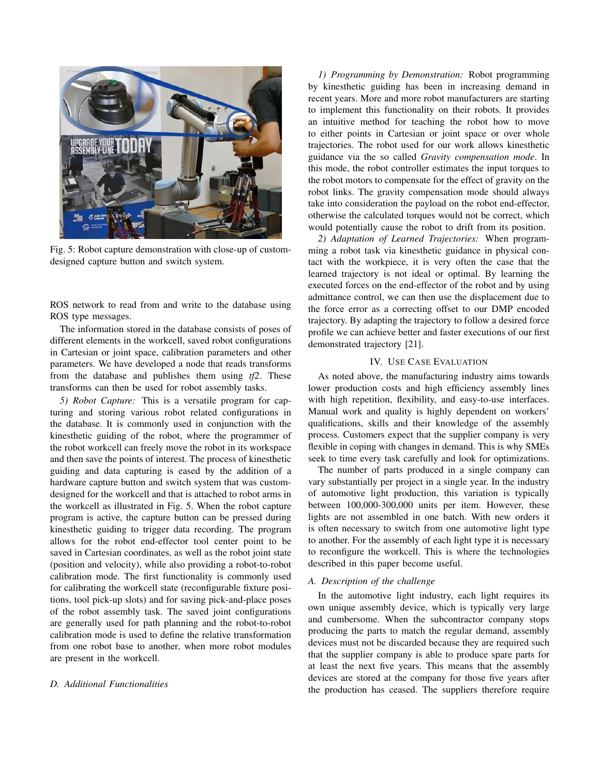

Fig. 5: Robot capture demonstration with close-up of customdesigned capture button and switch system.

ROS network to read from and write to the database using ROS type messages.

The information stored in the database consists of poses of different elements in the workcell, saved robot configurations in Cartesian or joint space, calibration parameters and other parameters. We have developed a node that reads transforms from the database and publishes them using *tf2*. These transforms can then be used for robot assembly tasks.

*5) Robot Capture:* This is a versatile program for capturing and storing various robot related configurations in the database. It is commonly used in conjunction with the kinesthetic guiding of the robot, where the programmer of the robot workcell can freely move the robot in its workspace and then save the points of interest. The process of kinesthetic guiding and data capturing is eased by the addition of a hardware capture button and switch system that was customdesigned for the workcell and that is attached to robot arms in the workcell as illustrated in Fig. 5. When the robot capture program is active, the capture button can be pressed during kinesthetic guiding to trigger data recording. The program allows for the robot end-effector tool center point to be saved in Cartesian coordinates, as well as the robot joint state (position and velocity), while also providing a robot-to-robot calibration mode. The first functionality is commonly used for calibrating the workcell state (reconfigurable fixture positions, tool pick-up slots) and for saving pick-and-place poses of the robot assembly task. The saved joint configurations are generally used for path planning and the robot-to-robot calibration mode is used to define the relative transformation from one robot base to another, when more robot modules are present in the workcell.

# *D. Additional Functionalities*

*1) Programming by Demonstration:* Robot programming by kinesthetic guiding has been in increasing demand in recent years. More and more robot manufacturers are starting to implement this functionality on their robots. It provides an intuitive method for teaching the robot how to move to either points in Cartesian or joint space or over whole trajectories. The robot used for our work allows kinesthetic guidance via the so called *Gravity compensation mode*. In this mode, the robot controller estimates the input torques to the robot motors to compensate for the effect of gravity on the robot links. The gravity compensation mode should always take into consideration the payload on the robot end-effector, otherwise the calculated torques would not be correct, which would potentially cause the robot to drift from its position.

*2) Adaptation of Learned Trajectories:* When programming a robot task via kinesthetic guidance in physical contact with the workpiece, it is very often the case that the learned trajectory is not ideal or optimal. By learning the executed forces on the end-effector of the robot and by using admittance control, we can then use the displacement due to the force error as a correcting offset to our DMP encoded trajectory. By adapting the trajectory to follow a desired force profile we can achieve better and faster executions of our first demonstrated trajectory [21].

#### IV. USE CASE EVALUATION

As noted above, the manufacturing industry aims towards lower production costs and high efficiency assembly lines with high repetition, flexibility, and easy-to-use interfaces. Manual work and quality is highly dependent on workers' qualifications, skills and their knowledge of the assembly process. Customers expect that the supplier company is very flexible in coping with changes in demand. This is why SMEs seek to time every task carefully and look for optimizations.

The number of parts produced in a single company can vary substantially per project in a single year. In the industry of automotive light production, this variation is typically between 100,000-300,000 units per item. However, these lights are not assembled in one batch. With new orders it is often necessary to switch from one automotive light type to another. For the assembly of each light type it is necessary to reconfigure the workcell. This is where the technologies described in this paper become useful.

# *A. Description of the challenge*

In the automotive light industry, each light requires its own unique assembly device, which is typically very large and cumbersome. When the subcontractor company stops producing the parts to match the regular demand, assembly devices must not be discarded because they are required such that the supplier company is able to produce spare parts for at least the next five years. This means that the assembly devices are stored at the company for those five years after the production has ceased. The suppliers therefore require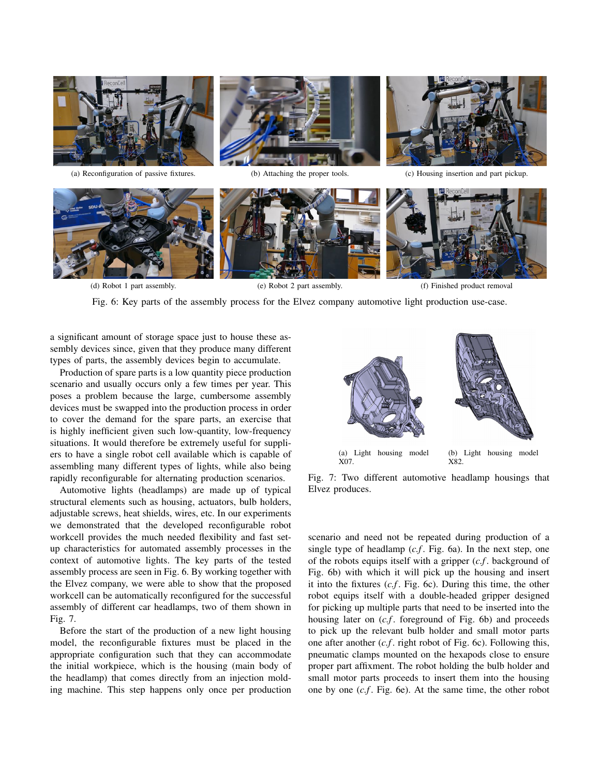







(a) Reconfiguration of passive fixtures. (b) Attaching the proper tools. (c) Housing insertion and part pickup.

(d) Robot 1 part assembly. (e) Robot 2 part assembly. (f) Finished product removal

Fig. 6: Key parts of the assembly process for the Elvez company automotive light production use-case.

a significant amount of storage space just to house these assembly devices since, given that they produce many different types of parts, the assembly devices begin to accumulate.

Production of spare parts is a low quantity piece production scenario and usually occurs only a few times per year. This poses a problem because the large, cumbersome assembly devices must be swapped into the production process in order to cover the demand for the spare parts, an exercise that is highly inefficient given such low-quantity, low-frequency situations. It would therefore be extremely useful for suppliers to have a single robot cell available which is capable of assembling many different types of lights, while also being rapidly reconfigurable for alternating production scenarios.

Automotive lights (headlamps) are made up of typical structural elements such as housing, actuators, bulb holders, adjustable screws, heat shields, wires, etc. In our experiments we demonstrated that the developed reconfigurable robot workcell provides the much needed flexibility and fast setup characteristics for automated assembly processes in the context of automotive lights. The key parts of the tested assembly process are seen in Fig. 6. By working together with the Elvez company, we were able to show that the proposed workcell can be automatically reconfigured for the successful assembly of different car headlamps, two of them shown in Fig. 7.

Before the start of the production of a new light housing model, the reconfigurable fixtures must be placed in the appropriate configuration such that they can accommodate the initial workpiece, which is the housing (main body of the headlamp) that comes directly from an injection molding machine. This step happens only once per production



Fig. 7: Two different automotive headlamp housings that Elvez produces.

scenario and need not be repeated during production of a single type of headlamp (*c.f* . Fig. 6a). In the next step, one of the robots equips itself with a gripper (*c.f* . background of Fig. 6b) with which it will pick up the housing and insert it into the fixtures (*c.f* . Fig. 6c). During this time, the other robot equips itself with a double-headed gripper designed for picking up multiple parts that need to be inserted into the housing later on  $(c.f.$  foreground of Fig. 6b) and proceeds to pick up the relevant bulb holder and small motor parts one after another (*c.f* . right robot of Fig. 6c). Following this, pneumatic clamps mounted on the hexapods close to ensure proper part affixment. The robot holding the bulb holder and small motor parts proceeds to insert them into the housing one by one (*c.f* . Fig. 6e). At the same time, the other robot